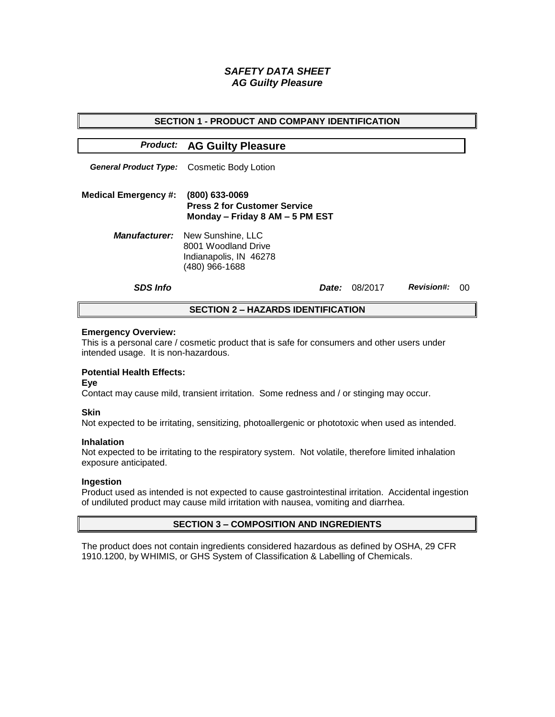# *SAFETY DATA SHEET AG Guilty Pleasure*

| <b>SECTION 1 - PRODUCT AND COMPANY IDENTIFICATION</b> |                                                                                                           |              |         |                   |    |  |
|-------------------------------------------------------|-----------------------------------------------------------------------------------------------------------|--------------|---------|-------------------|----|--|
|                                                       | <b>Product: AG Guilty Pleasure</b>                                                                        |              |         |                   |    |  |
|                                                       | <b>General Product Type:</b> Cosmetic Body Lotion                                                         |              |         |                   |    |  |
| <b>Medical Emergency #:</b>                           | (800) 633-0069<br><b>Press 2 for Customer Service</b><br>Monday - Friday 8 AM - 5 PM EST                  |              |         |                   |    |  |
|                                                       | <b>Manufacturer:</b> New Sunshine, LLC<br>8001 Woodland Drive<br>Indianapolis, IN 46278<br>(480) 966-1688 |              |         |                   |    |  |
| <b>SDS Info</b>                                       |                                                                                                           | <i>Date:</i> | 08/2017 | <b>Revision#:</b> | 00 |  |
| <b>SECTION 2 – HAZARDS IDENTIFICATION</b>             |                                                                                                           |              |         |                   |    |  |

#### **Emergency Overview:**

This is a personal care / cosmetic product that is safe for consumers and other users under intended usage. It is non-hazardous.

## **Potential Health Effects:**

**Eye**

Contact may cause mild, transient irritation. Some redness and / or stinging may occur.

## **Skin**

Not expected to be irritating, sensitizing, photoallergenic or phototoxic when used as intended.

#### **Inhalation**

Not expected to be irritating to the respiratory system. Not volatile, therefore limited inhalation exposure anticipated.

## **Ingestion**

Product used as intended is not expected to cause gastrointestinal irritation. Accidental ingestion of undiluted product may cause mild irritation with nausea, vomiting and diarrhea.

## **SECTION 3 – COMPOSITION AND INGREDIENTS**

The product does not contain ingredients considered hazardous as defined by OSHA, 29 CFR 1910.1200, by WHIMIS, or GHS System of Classification & Labelling of Chemicals.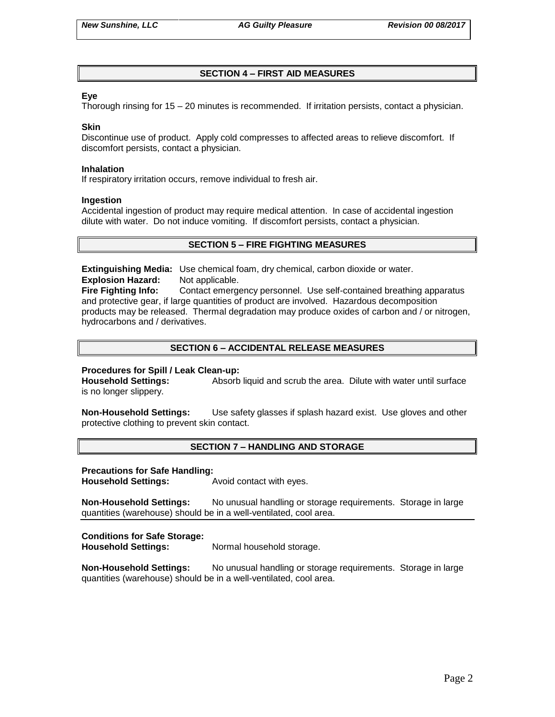# **SECTION 4 – FIRST AID MEASURES**

## **Eye**

Thorough rinsing for 15 – 20 minutes is recommended. If irritation persists, contact a physician.

#### **Skin**

Discontinue use of product. Apply cold compresses to affected areas to relieve discomfort. If discomfort persists, contact a physician.

#### **Inhalation**

If respiratory irritation occurs, remove individual to fresh air.

#### **Ingestion**

Accidental ingestion of product may require medical attention. In case of accidental ingestion dilute with water. Do not induce vomiting. If discomfort persists, contact a physician.

## **SECTION 5 – FIRE FIGHTING MEASURES**

**Extinguishing Media:** Use chemical foam, dry chemical, carbon dioxide or water. **Explosion Hazard:** Not applicable.

**Fire Fighting Info:** Contact emergency personnel. Use self-contained breathing apparatus and protective gear, if large quantities of product are involved. Hazardous decomposition products may be released. Thermal degradation may produce oxides of carbon and / or nitrogen, hydrocarbons and / derivatives.

# **SECTION 6 – ACCIDENTAL RELEASE MEASURES**

## **Procedures for Spill / Leak Clean-up:**

**Household Settings:** Absorb liquid and scrub the area. Dilute with water until surface is no longer slippery.

**Non-Household Settings:** Use safety glasses if splash hazard exist. Use gloves and other protective clothing to prevent skin contact.

## **SECTION 7 – HANDLING AND STORAGE**

#### **Precautions for Safe Handling:**

**Household Settings:** Avoid contact with eyes.

**Non-Household Settings:** No unusual handling or storage requirements. Storage in large quantities (warehouse) should be in a well-ventilated, cool area.

## **Conditions for Safe Storage:**

**Household Settings:** Normal household storage.

**Non-Household Settings:** No unusual handling or storage requirements. Storage in large quantities (warehouse) should be in a well-ventilated, cool area.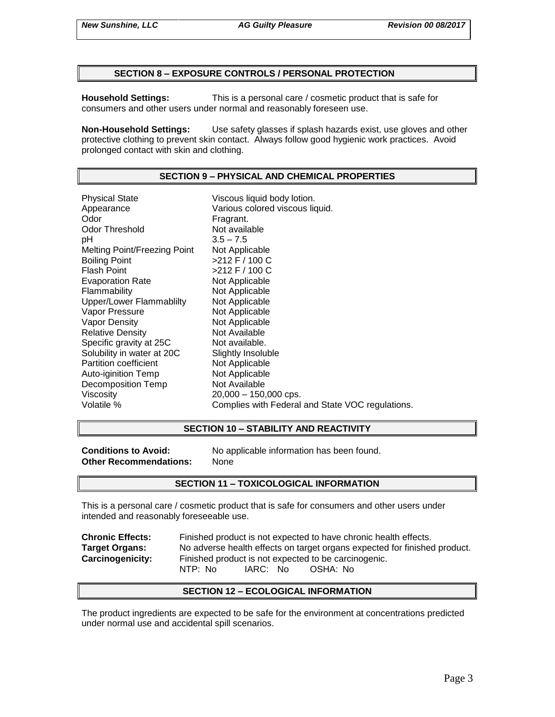## **SECTION 8 – EXPOSURE CONTROLS / PERSONAL PROTECTION**

**Household Settings:** This is a personal care / cosmetic product that is safe for consumers and other users under normal and reasonably foreseen use.

**Non-Household Settings:** Use safety glasses if splash hazards exist, use gloves and other protective clothing to prevent skin contact. Always follow good hygienic work practices. Avoid prolonged contact with skin and clothing.

## **SECTION 9 – PHYSICAL AND CHEMICAL PROPERTIES**

Physical State Viscous liquid body lotion. Appearance **Various colored viscous liquid.**<br>
Odor Communication Colore Fragrant. Odor Threshold Not available pH 3.5 – 7.5 Melting Point/Freezing Point Not Applicable Boiling Point >212 F / 100 C Flash Point  $>212$  F / 100 C Evaporation Rate Not Applicable Flammability Not Applicable Upper/Lower Flammablilty Not Applicable Vapor Pressure Not Applicable Vapor Density Not Applicable Relative Density Not Available Specific gravity at 25C Not available. Solubility in water at 20C Slightly Insoluble Partition coefficient Not Applicable Auto-iginition Temp Not Applicable Decomposition Temp Not Available Viscosity 20,000 – 150,000 cps. Volatile % Complies with Federal and State VOC regulations.

## **SECTION 10 – STABILITY AND REACTIVITY**

**Other Recommendations:** None

**Conditions to Avoid:** No applicable information has been found.

## **SECTION 11 – TOXICOLOGICAL INFORMATION**

This is a personal care / cosmetic product that is safe for consumers and other users under intended and reasonably foreseeable use.

**Chronic Effects:** Finished product is not expected to have chronic health effects. **Target Organs:** No adverse health effects on target organs expected for finished product. **Carcinogenicity:** Finished product is not expected to be carcinogenic. NTP: No IARC: No OSHA: No

## **SECTION 12 – ECOLOGICAL INFORMATION**

The product ingredients are expected to be safe for the environment at concentrations predicted under normal use and accidental spill scenarios.